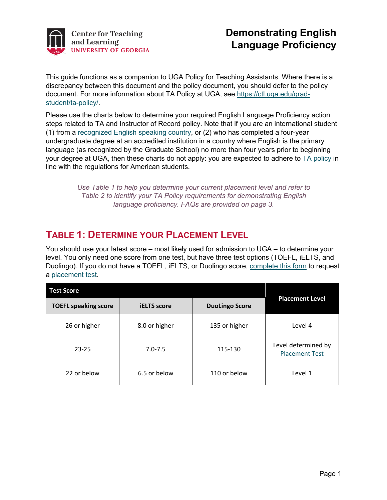

This guide functions as a companion to UGA Policy for Teaching Assistants. Where there is a discrepancy between this document and the policy document, you should defer to the policy document. For more information about TA Policy at UGA, see https://ctl.uga.edu/gradstudent/ta-policy/.

Please use the charts below to determine your required English Language Proficiency action steps related to TA and Instructor of Record policy. Note that if you are an international student (1) from a recognized English speaking country, or (2) who has completed a four-year undergraduate degree at an accredited institution in a country where English is the primary language (as recognized by the Graduate School) no more than four years prior to beginning your degree at UGA, then these charts do not apply: you are expected to adhere to TA policy in line with the regulations for American students.

> *Use Table 1 to help you determine your current placement level and refer to Table 2 to identify your TA Policy requirements for demonstrating English language proficiency. FAQs are provided on page 3.*

## **TABLE 1: DETERMINE YOUR PLACEMENT LEVEL**

You should use your latest score – most likely used for admission to UGA – to determine your level. You only need one score from one test, but have three test options (TOEFL, iELTS, and Duolingo). If you do not have a TOEFL, iELTS, or Duolingo score, complete this form to request a placement test.

| <b>Test Score</b>           |                    |                       |                                              |
|-----------------------------|--------------------|-----------------------|----------------------------------------------|
| <b>TOEFL speaking score</b> | <b>iELTS</b> score | <b>DuoLingo Score</b> | <b>Placement Level</b>                       |
| 26 or higher                | 8.0 or higher      | 135 or higher         | Level 4                                      |
| $23 - 25$                   | $7.0 - 7.5$        | 115-130               | Level determined by<br><b>Placement Test</b> |
| 22 or below                 | 6.5 or below       | 110 or below          | Level 1                                      |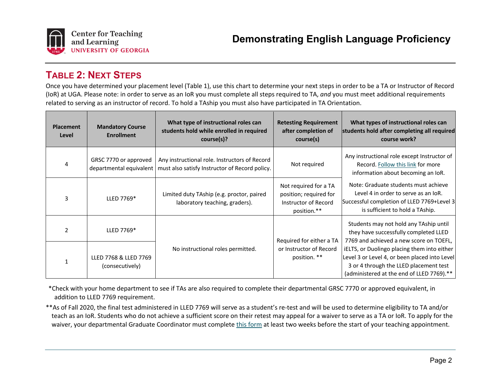

### **TABLE 2: NEXT STEPS**

Once you have determined your placement level (Table 1), use this chart to determine your next steps in order to be a TA or Instructor of Record (IoR) at UGA. Please note: in order to serve as an IoR you must complete all steps required to TA, *and* you must meet additional requirements related to serving as an instructor of record. To hold a TAship you must also have participated in TA Orientation.

| <b>Placement</b><br>Level | <b>Mandatory Course</b><br><b>Enrollment</b> | What type of instructional roles can<br>students hold while enrolled in required<br>course(s)?                            | <b>Retesting Requirement</b><br>after completion of<br>course(s)                       | What types of instructional roles can<br>students hold after completing all required<br>course work?                                                                                                                                                                                    |
|---------------------------|----------------------------------------------|---------------------------------------------------------------------------------------------------------------------------|----------------------------------------------------------------------------------------|-----------------------------------------------------------------------------------------------------------------------------------------------------------------------------------------------------------------------------------------------------------------------------------------|
|                           | GRSC 7770 or approved                        | Any instructional role. Instructors of Record<br>departmental equivalent   must also satisfy Instructor of Record policy. | Not required                                                                           | Any instructional role except Instructor of<br>Record. Follow this link for more<br>information about becoming an IoR.<br>Note: Graduate students must achieve<br>Level 4 in order to serve as an loR.<br>Successful completion of LLED 7769+Level 3<br>is sufficient to hold a TAship. |
|                           | LLED 7769*                                   | Limited duty TAship (e.g. proctor, paired<br>laboratory teaching, graders).                                               | Not required for a TA<br>position; required for<br>Instructor of Record<br>position.** |                                                                                                                                                                                                                                                                                         |
| $\mathcal{P}$             | LLED 7769*                                   |                                                                                                                           | Required for either a TA                                                               | Students may not hold any TAship until<br>they have successfully completed LLED<br>7769 and achieved a new score on TOEFL,                                                                                                                                                              |
|                           | LLED 7768 & LLED 7769<br>(consecutively)     | No instructional roles permitted.                                                                                         | or Instructor of Record<br>position. **                                                | iELTS, or Duolingo placing them into either<br>Level 3 or Level 4, or been placed into Level<br>3 or 4 through the LLED placement test<br>(administered at the end of LLED 7769).**                                                                                                     |

\*Check with your home department to see if TAs are also required to complete their departmental GRSC 7770 or approved equivalent, in addition to LLED 7769 requirement.

\*\*As of Fall 2020, the final test administered in LLED 7769 will serve as a student's re-test and will be used to determine eligibility to TA and/or teach as an IoR. Students who do not achieve a sufficient score on their retest may appeal for a waiver to serve as a TA or IoR. To apply for the waiver, your departmental Graduate Coordinator must complete this form at least two weeks before the start of your teaching appointment.